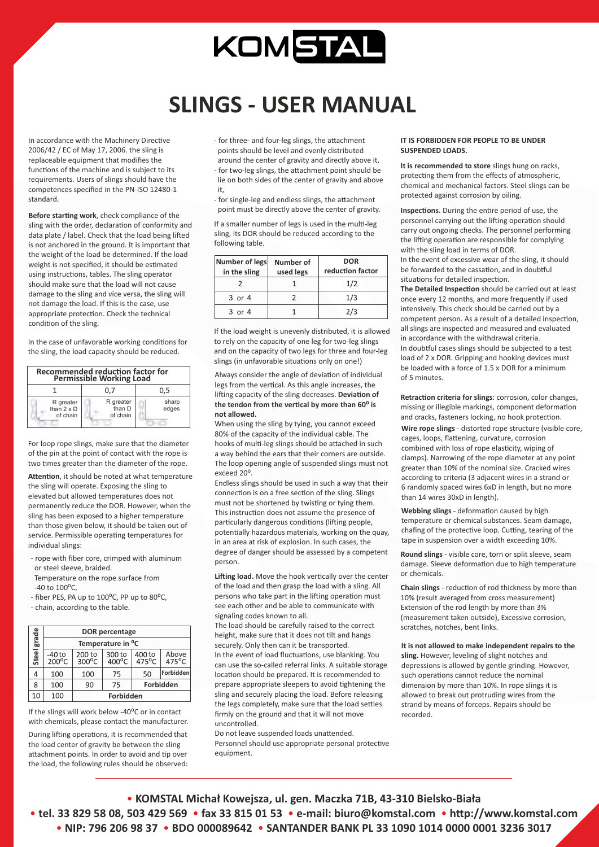## KOMSTAL

## **SLINGS - USER MANUAL**

In accordance with the Machinery Directive 2006/42 / EC of May 17, 2006. the sling is replaceable equipment that modifies the functions of the machine and is subject to its requirements. Users of slings should have the competences specified in the PN-ISO 12480-1 standard.

**Before starting work**, check compliance of the sling with the order, declaration of conformity and data plate / label. Check that the load being lifted is not anchored in the ground. It is important that the weight of the load be determined. If the load weight is not specified, it should be estimated using instructions, tables. The sling operator should make sure that the load will not cause damage to the sling and vice versa, the sling will not damage the load. If this is the case, use appropriate protection. Check the technical condition of the sling.

In the case of unfavorable working conditions for the sling, the load capacity should be reduced.

| <b>Recommended reduction factor for</b><br><b>Permissible Working Load</b> |                                 |                |  |  |  |  |
|----------------------------------------------------------------------------|---------------------------------|----------------|--|--|--|--|
|                                                                            | 0.7                             | 0.5            |  |  |  |  |
| R greater<br>than $2 \times D$<br>of chain                                 | R greater<br>than D<br>of chain | sharp<br>edges |  |  |  |  |

For loop rope slings, make sure that the diameter of the pin at the point of contact with the rope is two times greater than the diameter of the rope.

Attention, it should be noted at what temperature the sling will operate. Exposing the sling to elevated but allowed temperatures does not permanently reduce the DOR. However, when the sling has been exposed to a higher temperature than those given below, it should be taken out of service. Permissible operating temperatures for individual slings:

- rope with fiber core, crimped with aluminum or steel sleeve, braided.
- Temperature on the rope surface from  $-40$  to  $100^{\circ}$ C,
- fiber PES, PA up to 100°C, PP up to 80°C,

- chain, according to the table.

|       | <b>DOR</b> percentage<br>Temperature in <sup>o</sup> C |                           |                           |                           |                |  |  |
|-------|--------------------------------------------------------|---------------------------|---------------------------|---------------------------|----------------|--|--|
| grade |                                                        |                           |                           |                           |                |  |  |
| Steel | $-40$ to<br>$200^{\circ}$ C                            | 200 to<br>$300^{\circ}$ C | 300 to<br>$400^{\circ}$ C | 400 to<br>$475^{\circ}$ C | Above<br>475°C |  |  |
|       | 100                                                    | 100                       | 75                        | 50                        | Forbidden      |  |  |
| 8     | 100                                                    | 90                        | 75                        | Forbidden                 |                |  |  |
| 10    | 100                                                    | Forbidden                 |                           |                           |                |  |  |

If the slings will work below -40<sup>o</sup>C or in contact with chemicals, please contact the manufacturer.

During lifting operations, it is recommended that the load center of gravity be between the sling attachment points. In order to avoid and tip over the load, the following rules should be observed:

- for three- and four-leg slings, the attachment points should be level and evenly distributed
- around the center of gravity and directly above it, - for two-leg slings, the attachment point should be lie on both sides of the center of gravity and above it,
- for single-leg and endless slings, the attachment point must be directly above the center of gravity.

If a smaller number of legs is used in the multi-leg sling, its DOR should be reduced according to the following table.

| Number of legs<br>in the sling | Number of<br>used legs | <b>DOR</b><br>reduction factor |
|--------------------------------|------------------------|--------------------------------|
|                                |                        | 1/2                            |
| $3$ or $4$                     |                        | 1/3                            |
| $3$ or $4$                     |                        | 2/3                            |

If the load weight is unevenly distributed, it is allowed to rely on the capacity of one leg for two-leg slings and on the capacity of two legs for three and four-leg slings (in unfavorable situations only on one!)

Always consider the angle of deviation of individual legs from the vertical. As this angle increases, the lifting capacity of the sling decreases. Deviation of the tendon from the vertical by more than 60<sup>°</sup> is **not allowed.**

When using the sling by tying, you cannot exceed 80% of the capacity of the individual cable. The hooks of multi-leg slings should be attached in such a way behind the ears that their corners are outside. The loop opening angle of suspended slings must not exceed 20<sup>o</sup>

Endless slings should be used in such a way that their connection is on a free section of the sling. Slings must not be shortened by twisting or tying them. This instruction does not assume the presence of particularly dangerous conditions (lifting people, potentially hazardous materials, working on the quay, in an area at risk of explosion. In such cases, the degree of danger should be assessed by a competent person.

Lifting load. Move the hook vertically over the center of the load and then grasp the load with a sling. All persons who take part in the lifting operation must see each other and be able to communicate with signaling codes known to all.

The load should be carefully raised to the correct height, make sure that it does not tilt and hangs securely. Only then can it be transported. In the event of load fluctuations, use blanking. You can use the so-called referral links. A suitable storage location should be prepared. It is recommended to prepare appropriate sleepers to avoid tightening the sling and securely placing the load. Before releasing the legs completely, make sure that the load settles firmly on the ground and that it will not move uncontrolled.

Do not leave suspended loads unattended. Personnel should use appropriate personal protective equipment.

## **IT IS FORBIDDEN FOR PEOPLE TO BE UNDER SUSPENDED LOADS.**

**It is recommended to store** slings hung on racks, protecting them from the effects of atmospheric, chemical and mechanical factors. Steel slings can be protected against corrosion by oiling.

Inspections. During the entire period of use, the personnel carrying out the lifting operation should carry out ongoing checks. The personnel performing the lifting operation are responsible for complying with the sling load in terms of DOR. In the event of excessive wear of the sling, it should be forwarded to the cassation, and in doubtful situations for detailed inspection.

**The Detailed Inspection** should be carried out at least once every 12 months, and more frequently if used intensively. This check should be carried out by a competent person. As a result of a detailed inspection, all slings are inspected and measured and evaluated in accordance with the withdrawal criteria. In doubtful cases slings should be subjected to a test load of 2 x DOR. Gripping and hooking devices must be loaded with a force of 1.5 x DOR for a minimum of 5 minutes.

**Retraction criteria for slings**: corrosion, color changes, missing or illegible markings, component deformation and cracks, fasteners locking, no hook protection.

**Wire rope slings** - distorted rope structure (visible core, cages, loops, flattening, curvature, corrosion combined with loss of rope elasticity, wiping of clamps). Narrowing of the rope diameter at any point greater than 10% of the nominal size. Cracked wires according to criteria (3 adjacent wires in a strand or 6 randomly spaced wires 6xD in length, but no more than 14 wires 30xD in length).

**Webbing slings** - deformation caused by high temperature or chemical substances. Seam damage, chafing of the protective loop. Cutting, tearing of the tape in suspension over a width exceeding 10%.

**Round slings** - visible core, torn or split sleeve, seam damage. Sleeve deformation due to high temperature or chemicals.

**Chain slings** - reduction of rod thickness by more than 10% (result averaged from cross measurement) Extension of the rod length by more than 3% (measurement taken outside), Excessive corrosion, scratches, notches, bent links.

## **It is not allowed to make independent repairs to the**

**sling.** However, leveling of slight notches and depressions is allowed by gentle grinding. However, such operations cannot reduce the nominal dimension by more than 10%. In rope slings it is allowed to break out protruding wires from the strand by means of forceps. Repairs should be recorded.

• **KOMSTAL Michał Kowejsza, ul. gen. Maczka 71B, 43-310 Bielsko-Biała** • **tel. 33 829 58 08, 503 429 569** • **fax 33 815 01 53** • **e-mail: biuro@komstal.com** • **hp://www.komstal.com**  • **NIP: 796 206 98 37** • **BDO 000089642** • **SANTANDER BANK PL 33 1090 1014 0000 0001 3236 3017**